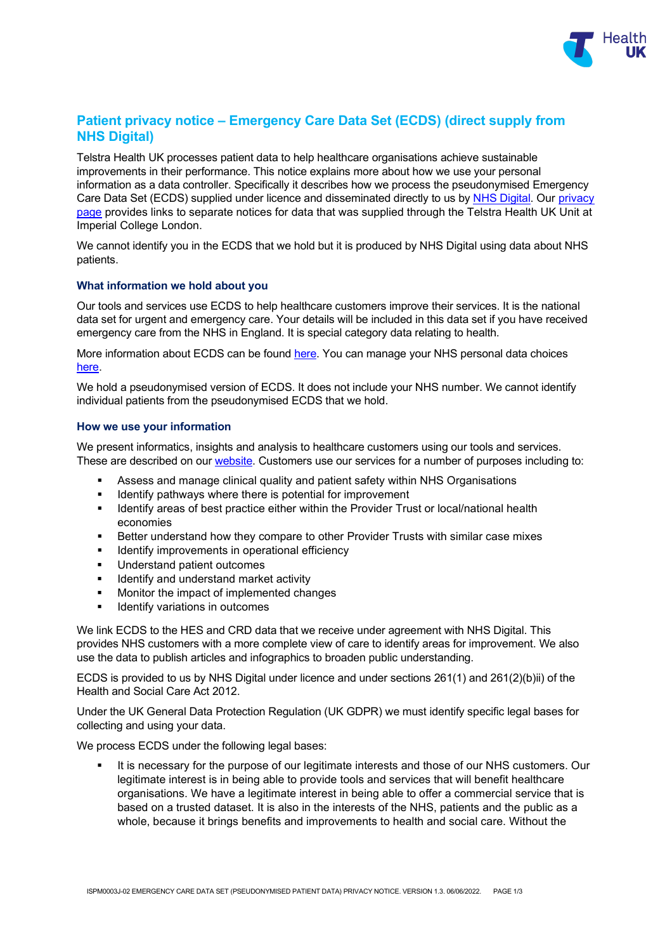

# **Patient privacy notice – Emergency Care Data Set (ECDS) (direct supply from NHS Digital)**

Telstra Health UK processes patient data to help healthcare organisations achieve sustainable improvements in their performance. This notice explains more about how we use your personal information as a data controller. Specifically it describes how we process the pseudonymised Emergency Care Data Set (ECDS) supplied under licence and disseminated directly to us by [NHS Digital.](https://digital.nhs.uk/home) Our privacy [page](https://telstrahealth.co.uk/privacy/) provides links to separate notices for data that was supplied through the Telstra Health UK Unit at Imperial College London.

We cannot identify you in the ECDS that we hold but it is produced by NHS Digital using data about NHS patients.

## **What information we hold about you**

Our tools and services use ECDS to help healthcare customers improve their services. It is the national data set for urgent and emergency care. Your details will be included in this data set if you have received emergency care from the NHS in England. It is special category data relating to health.

More information about ECDS can be found [here.](https://digital.nhs.uk/data-and-information/data-collections-and-data-sets/data-sets/emergency-care-data-set-ecds) You can manage your NHS personal data choices [here.](https://www.nhs.uk/your-nhs-data-matters/manage-your-choice/)

We hold a pseudonymised version of ECDS. It does not include your NHS number. We cannot identify individual patients from the pseudonymised ECDS that we hold.

## **How we use your information**

We present informatics, insights and analysis to healthcare customers using our tools and services. These are described on our [website.](http://www.telstrahealth.co.uk/) Customers use our services for a number of purposes including to:

- Assess and manage clinical quality and patient safety within NHS Organisations
- **IDENTIFY Identify pathways where there is potential for improvement**
- **IDENTIFY Areas of best practice either within the Provider Trust or local/national health** economies
- Better understand how they compare to other Provider Trusts with similar case mixes
- **IDENTIFY IMPROVEMENTS IN OPERATIONAL Efficiency**
- **Understand patient outcomes**
- **IDENTIFY And understand market activity**
- **Monitor the impact of implemented changes**
- Identify variations in outcomes

We link ECDS to the HES and CRD data that we receive under agreement with NHS Digital. This provides NHS customers with a more complete view of care to identify areas for improvement. We also use the data to publish articles and infographics to broaden public understanding.

ECDS is provided to us by NHS Digital under licence and under sections 261(1) and 261(2)(b)ii) of the Health and Social Care Act 2012.

Under the UK General Data Protection Regulation (UK GDPR) we must identify specific legal bases for collecting and using your data.

We process ECDS under the following legal bases:

 It is necessary for the purpose of our legitimate interests and those of our NHS customers. Our legitimate interest is in being able to provide tools and services that will benefit healthcare organisations. We have a legitimate interest in being able to offer a commercial service that is based on a trusted dataset. It is also in the interests of the NHS, patients and the public as a whole, because it brings benefits and improvements to health and social care. Without the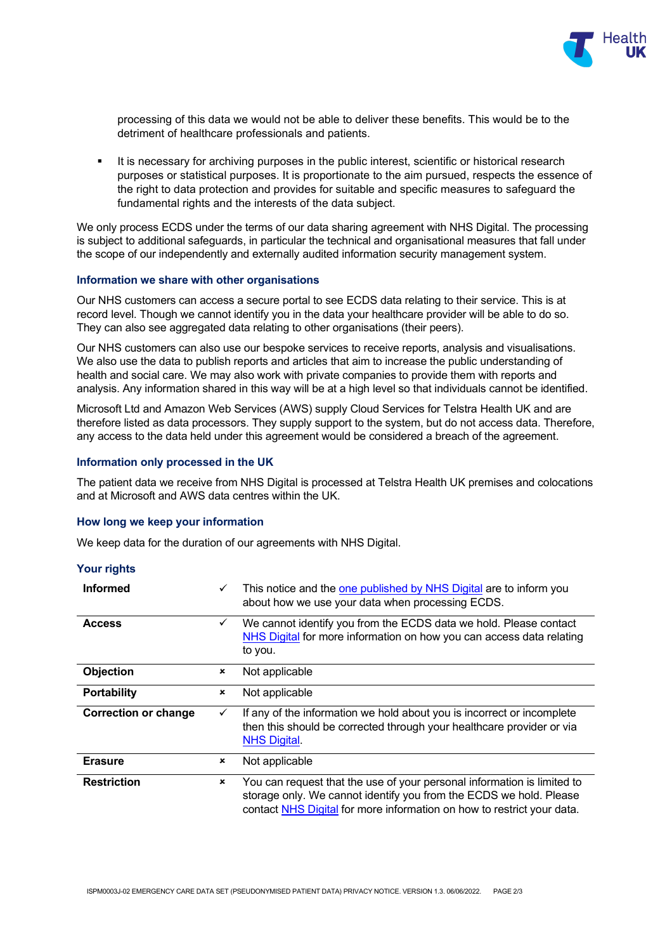

processing of this data we would not be able to deliver these benefits. This would be to the detriment of healthcare professionals and patients.

 It is necessary for archiving purposes in the public interest, scientific or historical research purposes or statistical purposes. It is proportionate to the aim pursued, respects the essence of the right to data protection and provides for suitable and specific measures to safeguard the fundamental rights and the interests of the data subject.

We only process ECDS under the terms of our data sharing agreement with NHS Digital. The processing is subject to additional safeguards, in particular the technical and organisational measures that fall under the scope of our independently and externally audited information security management system.

#### **Information we share with other organisations**

Our NHS customers can access a secure portal to see ECDS data relating to their service. This is at record level. Though we cannot identify you in the data your healthcare provider will be able to do so. They can also see aggregated data relating to other organisations (their peers).

Our NHS customers can also use our bespoke services to receive reports, analysis and visualisations. We also use the data to publish reports and articles that aim to increase the public understanding of health and social care. We may also work with private companies to provide them with reports and analysis. Any information shared in this way will be at a high level so that individuals cannot be identified.

Microsoft Ltd and Amazon Web Services (AWS) supply Cloud Services for Telstra Health UK and are therefore listed as data processors. They supply support to the system, but do not access data. Therefore, any access to the data held under this agreement would be considered a breach of the agreement.

#### **Information only processed in the UK**

The patient data we receive from NHS Digital is processed at Telstra Health UK premises and colocations and at Microsoft and AWS data centres within the UK.

#### **How long we keep your information**

J.

We keep data for the duration of our agreements with NHS Digital.

| Your rights                 |                           |                                                                                                                                                                                                                         |
|-----------------------------|---------------------------|-------------------------------------------------------------------------------------------------------------------------------------------------------------------------------------------------------------------------|
| <b>Informed</b>             | $\checkmark$              | This notice and the one published by NHS Digital are to inform you<br>about how we use your data when processing ECDS.                                                                                                  |
| <b>Access</b>               | $\checkmark$              | We cannot identify you from the ECDS data we hold. Please contact<br>NHS Digital for more information on how you can access data relating<br>to you.                                                                    |
| Objection                   | ×                         | Not applicable                                                                                                                                                                                                          |
| <b>Portability</b>          | $\boldsymbol{\mathsf{x}}$ | Not applicable                                                                                                                                                                                                          |
| <b>Correction or change</b> | $\checkmark$              | If any of the information we hold about you is incorrect or incomplete<br>then this should be corrected through your healthcare provider or via<br><b>NHS Digital.</b>                                                  |
| <b>Erasure</b>              | $\mathbf x$               | Not applicable                                                                                                                                                                                                          |
| <b>Restriction</b>          | $\boldsymbol{\mathsf{x}}$ | You can request that the use of your personal information is limited to<br>storage only. We cannot identify you from the ECDS we hold. Please<br>contact NHS Digital for more information on how to restrict your data. |